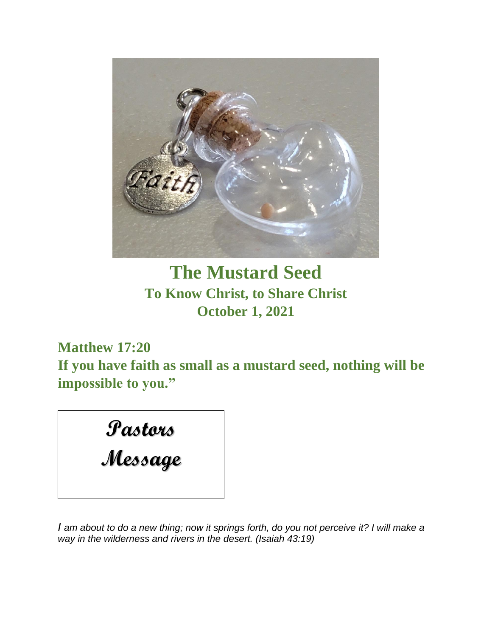

# **The Mustard Seed To Know Christ, to Share Christ October 1, 2021**

**Matthew 17:20**

**If you have faith as small as a mustard seed, nothing will be impossible to you."**

# **Pastors**

# **Message**

*I* am about to do a new thing; now it springs forth, do you not perceive it? I will make a *way in the wilderness and rivers in the desert. (Isaiah 43:19)*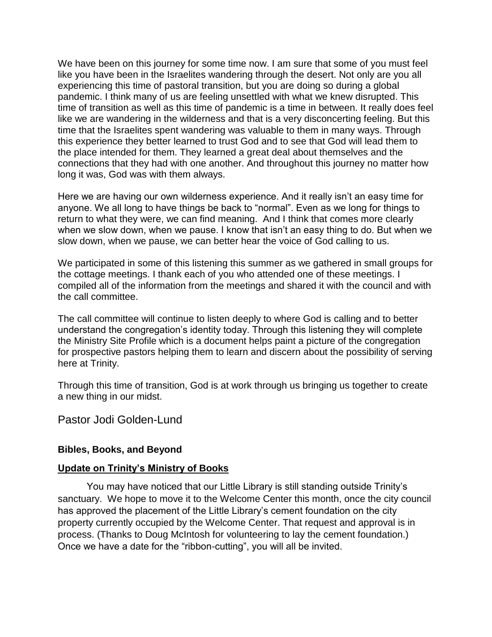We have been on this journey for some time now. I am sure that some of you must feel like you have been in the Israelites wandering through the desert. Not only are you all experiencing this time of pastoral transition, but you are doing so during a global pandemic. I think many of us are feeling unsettled with what we knew disrupted. This time of transition as well as this time of pandemic is a time in between. It really does feel like we are wandering in the wilderness and that is a very disconcerting feeling. But this time that the Israelites spent wandering was valuable to them in many ways. Through this experience they better learned to trust God and to see that God will lead them to the place intended for them. They learned a great deal about themselves and the connections that they had with one another. And throughout this journey no matter how long it was, God was with them always.

Here we are having our own wilderness experience. And it really isn't an easy time for anyone. We all long to have things be back to "normal". Even as we long for things to return to what they were, we can find meaning. And I think that comes more clearly when we slow down, when we pause. I know that isn't an easy thing to do. But when we slow down, when we pause, we can better hear the voice of God calling to us.

We participated in some of this listening this summer as we gathered in small groups for the cottage meetings. I thank each of you who attended one of these meetings. I compiled all of the information from the meetings and shared it with the council and with the call committee.

The call committee will continue to listen deeply to where God is calling and to better understand the congregation's identity today. Through this listening they will complete the Ministry Site Profile which is a document helps paint a picture of the congregation for prospective pastors helping them to learn and discern about the possibility of serving here at Trinity.

Through this time of transition, God is at work through us bringing us together to create a new thing in our midst.

Pastor Jodi Golden-Lund

### **Bibles, Books, and Beyond**

### **Update on Trinity's Ministry of Books**

You may have noticed that our Little Library is still standing outside Trinity's sanctuary. We hope to move it to the Welcome Center this month, once the city council has approved the placement of the Little Library's cement foundation on the city property currently occupied by the Welcome Center. That request and approval is in process. (Thanks to Doug McIntosh for volunteering to lay the cement foundation.) Once we have a date for the "ribbon-cutting", you will all be invited.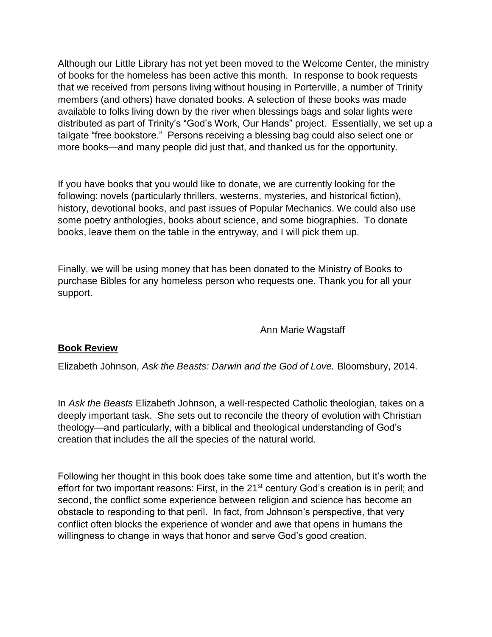Although our Little Library has not yet been moved to the Welcome Center, the ministry of books for the homeless has been active this month. In response to book requests that we received from persons living without housing in Porterville, a number of Trinity members (and others) have donated books. A selection of these books was made available to folks living down by the river when blessings bags and solar lights were distributed as part of Trinity's "God's Work, Our Hands" project. Essentially, we set up a tailgate "free bookstore." Persons receiving a blessing bag could also select one or more books—and many people did just that, and thanked us for the opportunity.

If you have books that you would like to donate, we are currently looking for the following: novels (particularly thrillers, westerns, mysteries, and historical fiction), history, devotional books, and past issues of Popular Mechanics. We could also use some poetry anthologies, books about science, and some biographies. To donate books, leave them on the table in the entryway, and I will pick them up.

Finally, we will be using money that has been donated to the Ministry of Books to purchase Bibles for any homeless person who requests one. Thank you for all your support.

### Ann Marie Wagstaff

### **Book Review**

Elizabeth Johnson, *Ask the Beasts: Darwin and the God of Love.* Bloomsbury, 2014.

In *Ask the Beasts* Elizabeth Johnson, a well-respected Catholic theologian, takes on a deeply important task. She sets out to reconcile the theory of evolution with Christian theology—and particularly, with a biblical and theological understanding of God's creation that includes the all the species of the natural world.

Following her thought in this book does take some time and attention, but it's worth the effort for two important reasons: First, in the 21<sup>st</sup> century God's creation is in peril; and second, the conflict some experience between religion and science has become an obstacle to responding to that peril. In fact, from Johnson's perspective, that very conflict often blocks the experience of wonder and awe that opens in humans the willingness to change in ways that honor and serve God's good creation.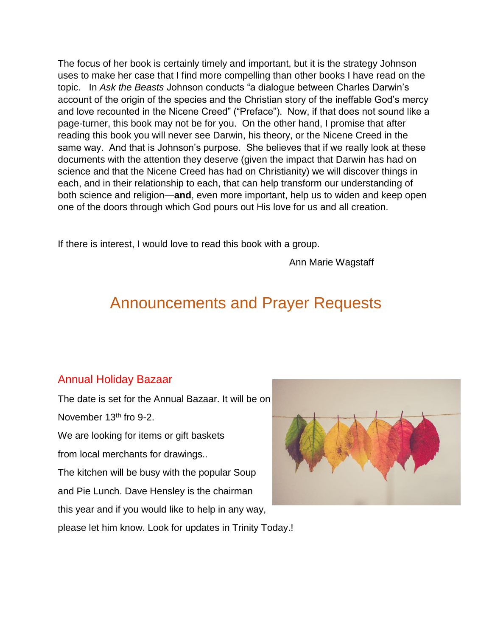The focus of her book is certainly timely and important, but it is the strategy Johnson uses to make her case that I find more compelling than other books I have read on the topic. In *Ask the Beasts* Johnson conducts "a dialogue between Charles Darwin's account of the origin of the species and the Christian story of the ineffable God's mercy and love recounted in the Nicene Creed" ("Preface"). Now, if that does not sound like a page-turner, this book may not be for you. On the other hand, I promise that after reading this book you will never see Darwin, his theory, or the Nicene Creed in the same way. And that is Johnson's purpose. She believes that if we really look at these documents with the attention they deserve (given the impact that Darwin has had on science and that the Nicene Creed has had on Christianity) we will discover things in each, and in their relationship to each, that can help transform our understanding of both science and religion—**and**, even more important, help us to widen and keep open one of the doors through which God pours out His love for us and all creation.

If there is interest, I would love to read this book with a group.

Ann Marie Wagstaff

# Announcements and Prayer Requests

### Annual Holiday Bazaar

The date is set for the Annual Bazaar. It will be on November 13<sup>th</sup> fro 9-2.

We are looking for items or gift baskets from local merchants for drawings..

The kitchen will be busy with the popular Soup and Pie Lunch. Dave Hensley is the chairman this year and if you would like to help in any way,



please let him know. Look for updates in Trinity Today.!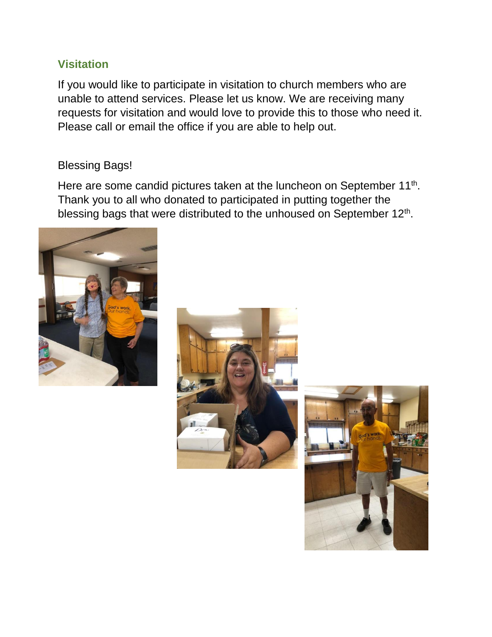### **Visitation**

If you would like to participate in visitation to church members who are unable to attend services. Please let us know. We are receiving many requests for visitation and would love to provide this to those who need it. Please call or email the office if you are able to help out.

### Blessing Bags!

Here are some candid pictures taken at the luncheon on September 11<sup>th</sup>. Thank you to all who donated to participated in putting together the blessing bags that were distributed to the unhoused on September 12<sup>th</sup>.